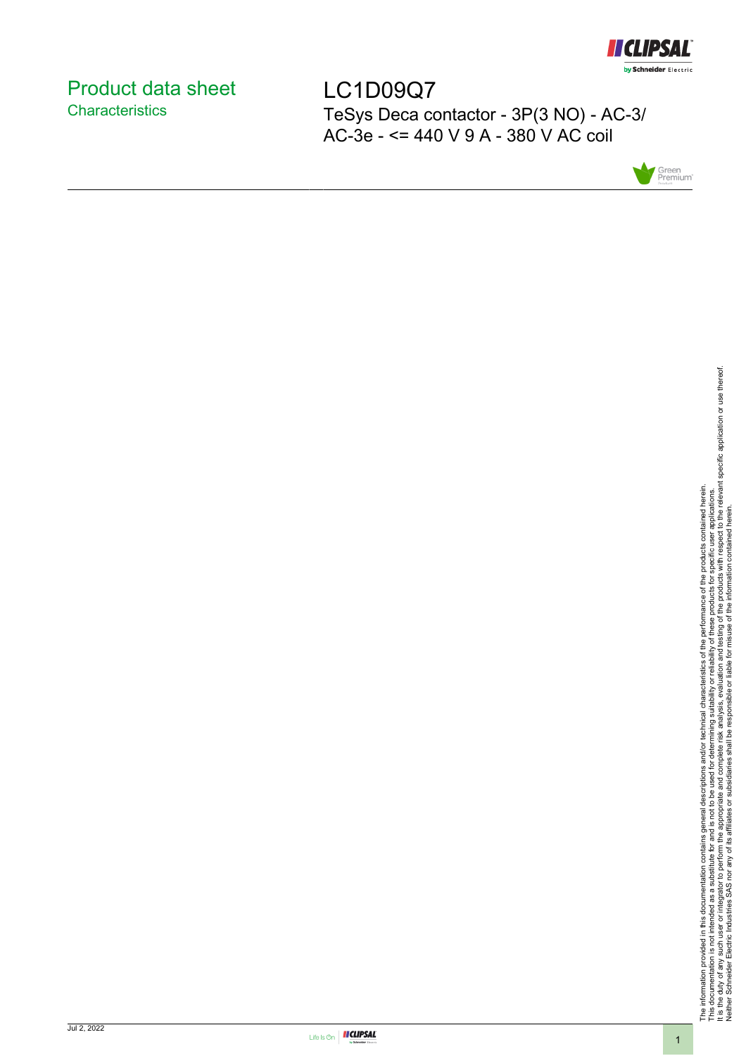

# <span id="page-0-0"></span>Product data sheet **Characteristics**

LC1D09Q7 TeSys Deca contactor - 3P(3 NO) - AC-3/ AC-3e - <= 440 V 9 A - 380 V AC coil



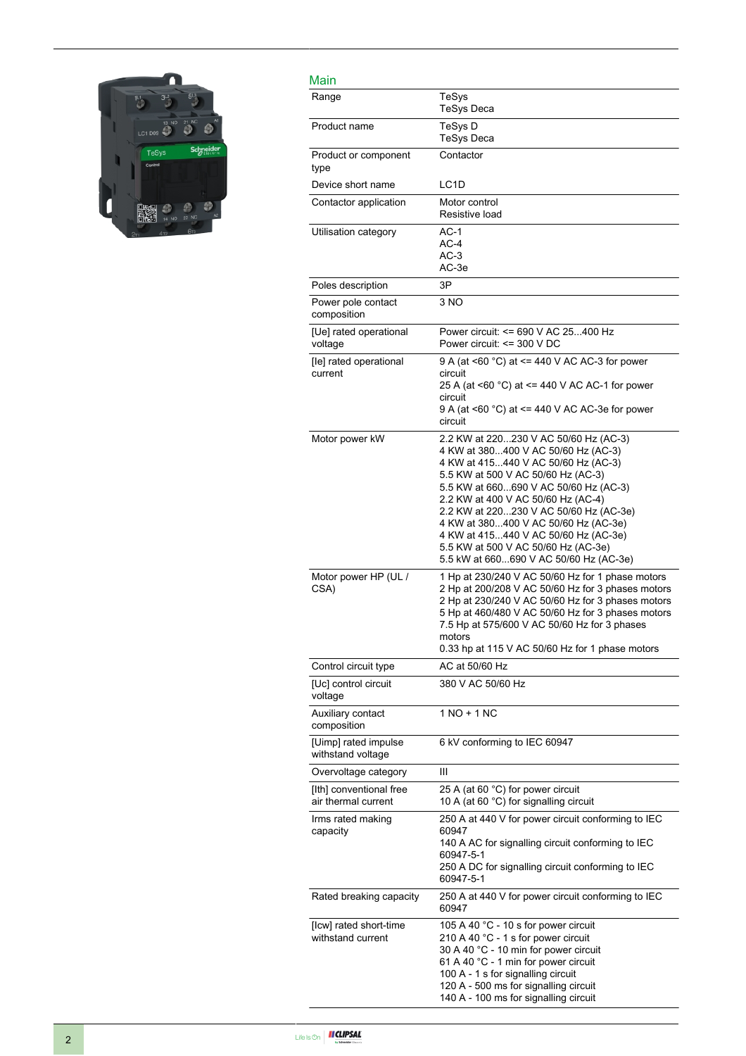

| Main                                           |                                                                                                                                                                                                                                                                                                                                                                                                                                                     |
|------------------------------------------------|-----------------------------------------------------------------------------------------------------------------------------------------------------------------------------------------------------------------------------------------------------------------------------------------------------------------------------------------------------------------------------------------------------------------------------------------------------|
| Range                                          | TeSys<br><b>TeSys Deca</b>                                                                                                                                                                                                                                                                                                                                                                                                                          |
| Product name                                   | TeSys D<br><b>TeSys Deca</b>                                                                                                                                                                                                                                                                                                                                                                                                                        |
| Product or component<br>type                   | Contactor                                                                                                                                                                                                                                                                                                                                                                                                                                           |
| Device short name                              | LC <sub>1</sub> D                                                                                                                                                                                                                                                                                                                                                                                                                                   |
| Contactor application                          | Motor control<br>Resistive load                                                                                                                                                                                                                                                                                                                                                                                                                     |
| Utilisation category                           | $AC-1$<br>$AC-4$<br>$AC-3$<br>AC-3e                                                                                                                                                                                                                                                                                                                                                                                                                 |
| Poles description                              | 3P                                                                                                                                                                                                                                                                                                                                                                                                                                                  |
| Power pole contact<br>composition              | 3 NO                                                                                                                                                                                                                                                                                                                                                                                                                                                |
| [Ue] rated operational<br>voltage              | Power circuit: <= 690 V AC 25400 Hz<br>Power circuit: <= 300 V DC                                                                                                                                                                                                                                                                                                                                                                                   |
| [le] rated operational<br>current              | 9 A (at <60 $^{\circ}$ C) at <= 440 V AC AC-3 for power<br>circuit<br>25 A (at <60 °C) at <= 440 V AC AC-1 for power<br>circuit<br>9 A (at <60 $^{\circ}$ C) at <= 440 V AC AC-3e for power<br>circuit                                                                                                                                                                                                                                              |
| Motor power kW                                 | 2.2 KW at 220230 V AC 50/60 Hz (AC-3)<br>4 KW at 380400 V AC 50/60 Hz (AC-3)<br>4 KW at 415440 V AC 50/60 Hz (AC-3)<br>5.5 KW at 500 V AC 50/60 Hz (AC-3)<br>5.5 KW at 660690 V AC 50/60 Hz (AC-3)<br>2.2 KW at 400 V AC 50/60 Hz (AC-4)<br>2.2 KW at 220230 V AC 50/60 Hz (AC-3e)<br>4 KW at 380400 V AC 50/60 Hz (AC-3e)<br>4 KW at 415440 V AC 50/60 Hz (AC-3e)<br>5.5 KW at 500 V AC 50/60 Hz (AC-3e)<br>5.5 kW at 660690 V AC 50/60 Hz (AC-3e) |
| Motor power HP (UL /<br>CSA)                   | 1 Hp at 230/240 V AC 50/60 Hz for 1 phase motors<br>2 Hp at 200/208 V AC 50/60 Hz for 3 phases motors<br>2 Hp at 230/240 V AC 50/60 Hz for 3 phases motors<br>5 Hp at 460/480 V AC 50/60 Hz for 3 phases motors<br>7.5 Hp at 575/600 V AC 50/60 Hz for 3 phases<br>motors<br>0.33 hp at 115 V AC 50/60 Hz for 1 phase motors                                                                                                                        |
| Control circuit type                           | AC at 50/60 Hz                                                                                                                                                                                                                                                                                                                                                                                                                                      |
| [Uc] control circuit<br>voltage                | 380 V AC 50/60 Hz                                                                                                                                                                                                                                                                                                                                                                                                                                   |
| Auxiliary contact<br>composition               | 1 NO + 1 NC                                                                                                                                                                                                                                                                                                                                                                                                                                         |
| [Uimp] rated impulse<br>withstand voltage      | 6 kV conforming to IEC 60947                                                                                                                                                                                                                                                                                                                                                                                                                        |
| Overvoltage category                           | Ш                                                                                                                                                                                                                                                                                                                                                                                                                                                   |
| [Ith] conventional free<br>air thermal current | 25 A (at 60 °C) for power circuit<br>10 A (at 60 °C) for signalling circuit                                                                                                                                                                                                                                                                                                                                                                         |
| Irms rated making<br>capacity                  | 250 A at 440 V for power circuit conforming to IEC<br>60947<br>140 A AC for signalling circuit conforming to IEC<br>60947-5-1<br>250 A DC for signalling circuit conforming to IEC<br>60947-5-1                                                                                                                                                                                                                                                     |
| Rated breaking capacity                        | 250 A at 440 V for power circuit conforming to IEC<br>60947                                                                                                                                                                                                                                                                                                                                                                                         |
| [Icw] rated short-time<br>withstand current    | 105 A 40 °C - 10 s for power circuit<br>210 A 40 °C - 1 s for power circuit<br>30 A 40 °C - 10 min for power circuit<br>61 A 40 °C - 1 min for power circuit<br>100 A - 1 s for signalling circuit<br>120 A - 500 ms for signalling circuit<br>140 A - 100 ms for signalling circuit                                                                                                                                                                |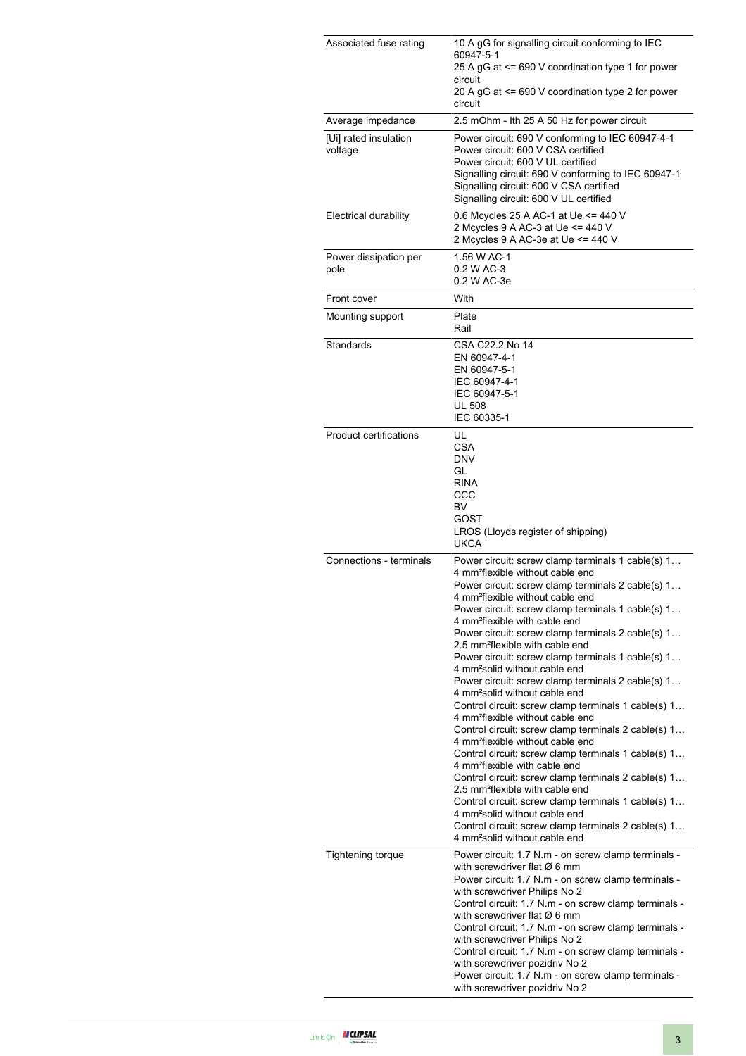| Associated fuse rating           | 10 A gG for signalling circuit conforming to IEC<br>60947-5-1<br>25 A gG at <= 690 V coordination type 1 for power<br>circuit<br>20 A gG at <= 690 V coordination type 2 for power                                                                                                                                                                                                                                                                                                                                                                                                                                                                                                                                                                                                                                                                                                                                                                                                                                                                                                                                                                                                                                                               |
|----------------------------------|--------------------------------------------------------------------------------------------------------------------------------------------------------------------------------------------------------------------------------------------------------------------------------------------------------------------------------------------------------------------------------------------------------------------------------------------------------------------------------------------------------------------------------------------------------------------------------------------------------------------------------------------------------------------------------------------------------------------------------------------------------------------------------------------------------------------------------------------------------------------------------------------------------------------------------------------------------------------------------------------------------------------------------------------------------------------------------------------------------------------------------------------------------------------------------------------------------------------------------------------------|
| Average impedance                | circuit<br>2.5 mOhm - Ith 25 A 50 Hz for power circuit                                                                                                                                                                                                                                                                                                                                                                                                                                                                                                                                                                                                                                                                                                                                                                                                                                                                                                                                                                                                                                                                                                                                                                                           |
| [Ui] rated insulation<br>voltage | Power circuit: 690 V conforming to IEC 60947-4-1<br>Power circuit: 600 V CSA certified<br>Power circuit: 600 V UL certified<br>Signalling circuit: 690 V conforming to IEC 60947-1<br>Signalling circuit: 600 V CSA certified<br>Signalling circuit: 600 V UL certified                                                                                                                                                                                                                                                                                                                                                                                                                                                                                                                                                                                                                                                                                                                                                                                                                                                                                                                                                                          |
| Electrical durability            | 0.6 Mcycles 25 A AC-1 at Ue <= 440 V<br>2 Mcycles 9 A AC-3 at Ue <= 440 V<br>2 Mcycles 9 A AC-3e at Ue <= 440 V                                                                                                                                                                                                                                                                                                                                                                                                                                                                                                                                                                                                                                                                                                                                                                                                                                                                                                                                                                                                                                                                                                                                  |
| Power dissipation per<br>pole    | 1.56 W AC-1<br>0.2 W AC-3<br>0.2 W AC-3e                                                                                                                                                                                                                                                                                                                                                                                                                                                                                                                                                                                                                                                                                                                                                                                                                                                                                                                                                                                                                                                                                                                                                                                                         |
| Front cover                      | With                                                                                                                                                                                                                                                                                                                                                                                                                                                                                                                                                                                                                                                                                                                                                                                                                                                                                                                                                                                                                                                                                                                                                                                                                                             |
| Mounting support                 | Plate<br>Rail                                                                                                                                                                                                                                                                                                                                                                                                                                                                                                                                                                                                                                                                                                                                                                                                                                                                                                                                                                                                                                                                                                                                                                                                                                    |
| Standards                        | CSA C22.2 No 14<br>EN 60947-4-1<br>EN 60947-5-1<br>IEC 60947-4-1<br>IEC 60947-5-1<br><b>UL 508</b><br>IEC 60335-1                                                                                                                                                                                                                                                                                                                                                                                                                                                                                                                                                                                                                                                                                                                                                                                                                                                                                                                                                                                                                                                                                                                                |
| <b>Product certifications</b>    | UL<br><b>CSA</b><br><b>DNV</b><br>GL<br><b>RINA</b><br>CCC<br>BV<br>GOST<br>LROS (Lloyds register of shipping)<br><b>UKCA</b>                                                                                                                                                                                                                                                                                                                                                                                                                                                                                                                                                                                                                                                                                                                                                                                                                                                                                                                                                                                                                                                                                                                    |
| Connections - terminals          | Power circuit: screw clamp terminals 1 cable(s) 1<br>4 mm <sup>2</sup> flexible without cable end<br>Power circuit: screw clamp terminals 2 cable(s) 1<br>4 mm <sup>2</sup> flexible without cable end<br>Power circuit: screw clamp terminals 1 cable(s) 1<br>4 mm <sup>2</sup> flexible with cable end<br>Power circuit: screw clamp terminals 2 cable(s) 1<br>2.5 mm <sup>2</sup> flexible with cable end<br>Power circuit: screw clamp terminals 1 cable(s) 1<br>4 mm <sup>2</sup> solid without cable end<br>Power circuit: screw clamp terminals 2 cable(s) 1<br>4 mm <sup>2</sup> solid without cable end<br>Control circuit: screw clamp terminals 1 cable(s) 1<br>4 mm <sup>2</sup> flexible without cable end<br>Control circuit: screw clamp terminals 2 cable(s) 1<br>4 mm <sup>2</sup> flexible without cable end<br>Control circuit: screw clamp terminals 1 cable(s) 1<br>4 mm <sup>2</sup> flexible with cable end<br>Control circuit: screw clamp terminals 2 cable(s) 1<br>2.5 mm <sup>2</sup> flexible with cable end<br>Control circuit: screw clamp terminals 1 cable(s) 1<br>4 mm <sup>2</sup> solid without cable end<br>Control circuit: screw clamp terminals 2 cable(s) 1<br>4 mm <sup>2</sup> solid without cable end |
| Tightening torque                | Power circuit: 1.7 N.m - on screw clamp terminals -<br>with screwdriver flat $\varnothing$ 6 mm<br>Power circuit: 1.7 N.m - on screw clamp terminals -<br>with screwdriver Philips No 2<br>Control circuit: 1.7 N.m - on screw clamp terminals -<br>with screwdriver flat $\varnothing$ 6 mm<br>Control circuit: 1.7 N.m - on screw clamp terminals -<br>with screwdriver Philips No 2<br>Control circuit: 1.7 N.m - on screw clamp terminals -<br>with screwdriver pozidriv No 2<br>Power circuit: 1.7 N.m - on screw clamp terminals -<br>with screwdriver pozidriv No 2                                                                                                                                                                                                                                                                                                                                                                                                                                                                                                                                                                                                                                                                       |

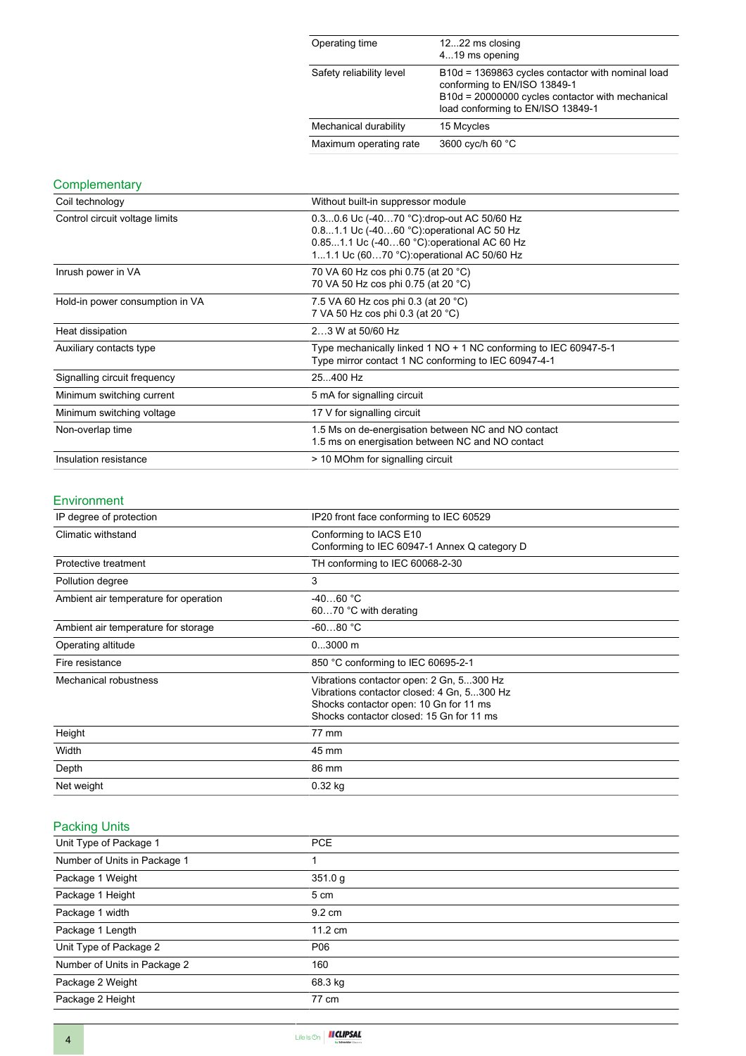| Operating time           | 1222 ms closing<br>419 ms opening                                                                                                                                          |
|--------------------------|----------------------------------------------------------------------------------------------------------------------------------------------------------------------------|
| Safety reliability level | B10d = 1369863 cycles contactor with nominal load<br>conforming to EN/ISO 13849-1<br>B10d = 20000000 cycles contactor with mechanical<br>load conforming to EN/ISO 13849-1 |
| Mechanical durability    | 15 Mcycles                                                                                                                                                                 |
| Maximum operating rate   | 3600 cyc/h 60 °C                                                                                                                                                           |

## **Complementary**

| Coil technology                 | Without built-in suppressor module                                                                                                                                                   |
|---------------------------------|--------------------------------------------------------------------------------------------------------------------------------------------------------------------------------------|
| Control circuit voltage limits  | 0.30.6 Uc (-4070 °C): drop-out AC 50/60 Hz<br>0.81.1 Uc (-4060 °C) operational AC 50 Hz<br>0.851.1 Uc (-4060 °C): operational AC 60 Hz<br>11.1 Uc (6070 °C): operational AC 50/60 Hz |
| Inrush power in VA              | 70 VA 60 Hz cos phi 0.75 (at 20 °C)<br>70 VA 50 Hz cos phi 0.75 (at 20 °C)                                                                                                           |
| Hold-in power consumption in VA | 7.5 VA 60 Hz cos phi 0.3 (at 20 °C)<br>7 VA 50 Hz cos phi 0.3 (at 20 °C)                                                                                                             |
| Heat dissipation                | 23 W at 50/60 Hz                                                                                                                                                                     |
| Auxiliary contacts type         | Type mechanically linked 1 NO + 1 NC conforming to IEC 60947-5-1<br>Type mirror contact 1 NC conforming to IEC 60947-4-1                                                             |
| Signalling circuit frequency    | 25400 Hz                                                                                                                                                                             |
| Minimum switching current       | 5 mA for signalling circuit                                                                                                                                                          |
| Minimum switching voltage       | 17 V for signalling circuit                                                                                                                                                          |
| Non-overlap time                | 1.5 Ms on de-energisation between NC and NO contact<br>1.5 ms on energisation between NC and NO contact                                                                              |
| Insulation resistance           | > 10 MOhm for signalling circuit                                                                                                                                                     |

### Environment

| IP degree of protection               | IP20 front face conforming to IEC 60529                                                                                                                                      |  |
|---------------------------------------|------------------------------------------------------------------------------------------------------------------------------------------------------------------------------|--|
| Climatic withstand                    | Conforming to IACS E10<br>Conforming to IEC 60947-1 Annex Q category D                                                                                                       |  |
| Protective treatment                  | TH conforming to IEC 60068-2-30                                                                                                                                              |  |
| Pollution degree                      | 3                                                                                                                                                                            |  |
| Ambient air temperature for operation | $-4060 °C$<br>6070 °C with derating                                                                                                                                          |  |
| Ambient air temperature for storage   | $-6080 °C$                                                                                                                                                                   |  |
| Operating altitude                    | $03000$ m                                                                                                                                                                    |  |
| Fire resistance                       | 850 °C conforming to IEC 60695-2-1                                                                                                                                           |  |
| Mechanical robustness                 | Vibrations contactor open: 2 Gn, 5300 Hz<br>Vibrations contactor closed: 4 Gn, 5300 Hz<br>Shocks contactor open: 10 Gn for 11 ms<br>Shocks contactor closed: 15 Gn for 11 ms |  |
| Height                                | 77 mm                                                                                                                                                                        |  |
| Width                                 | 45 mm                                                                                                                                                                        |  |
| Depth                                 | 86 mm                                                                                                                                                                        |  |
| Net weight                            | $0.32$ kg                                                                                                                                                                    |  |

# Packing Units

| Unit Type of Package 1       | <b>PCE</b>        |
|------------------------------|-------------------|
| Number of Units in Package 1 |                   |
| Package 1 Weight             | 351.0 g           |
| Package 1 Height             | 5 cm              |
| Package 1 width              | 9.2 cm            |
| Package 1 Length             | $11.2 \text{ cm}$ |
| Unit Type of Package 2       | P06               |
| Number of Units in Package 2 | 160               |
| Package 2 Weight             | 68.3 kg           |
| Package 2 Height             | 77 cm             |